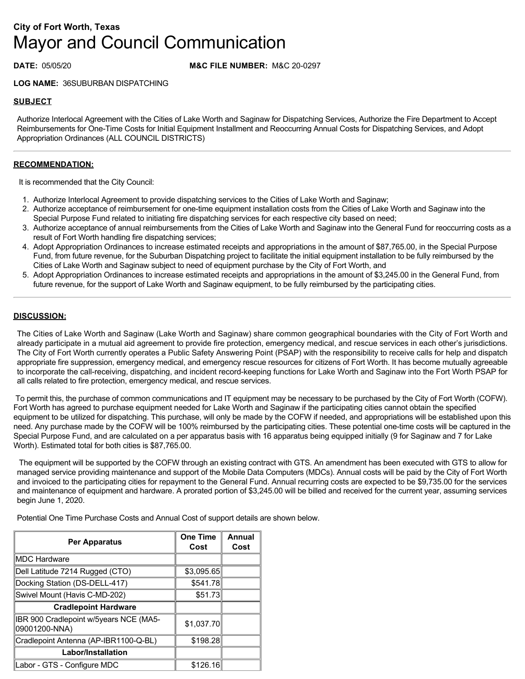# **City of Fort Worth, Texas** Mayor and Council Communication

## **DATE:** 05/05/20 **M&C FILE NUMBER:** M&C 20-0297

**LOG NAME:** 36SUBURBAN DISPATCHING

## **SUBJECT**

Authorize Interlocal Agreement with the Cities of Lake Worth and Saginaw for Dispatching Services, Authorize the Fire Department to Accept Reimbursements for One-Time Costs for Initial Equipment Installment and Reoccurring Annual Costs for Dispatching Services, and Adopt Appropriation Ordinances (ALL COUNCIL DISTRICTS)

#### **RECOMMENDATION:**

It is recommended that the City Council:

- 1. Authorize Interlocal Agreement to provide dispatching services to the Cities of Lake Worth and Saginaw;
- 2. Authorize acceptance of reimbursement for one-time equipment installation costs from the Cities of Lake Worth and Saginaw into the Special Purpose Fund related to initiating fire dispatching services for each respective city based on need;
- 3. Authorize acceptance of annual reimbursements from the Cities of Lake Worth and Saginaw into the General Fund for reoccurring costs as a result of Fort Worth handling fire dispatching services;
- 4. Adopt Appropriation Ordinances to increase estimated receipts and appropriations in the amount of \$87,765.00, in the Special Purpose Fund, from future revenue, for the Suburban Dispatching project to facilitate the initial equipment installation to be fully reimbursed by the Cities of Lake Worth and Saginaw subject to need of equipment purchase by the City of Fort Worth, and
- 5. Adopt Appropriation Ordinances to increase estimated receipts and appropriations in the amount of \$3,245.00 in the General Fund, from future revenue, for the support of Lake Worth and Saginaw equipment, to be fully reimbursed by the participating cities.

#### **DISCUSSION:**

The Cities of Lake Worth and Saginaw (Lake Worth and Saginaw) share common geographical boundaries with the City of Fort Worth and already participate in a mutual aid agreement to provide fire protection, emergency medical, and rescue services in each other's jurisdictions. The City of Fort Worth currently operates a Public Safety Answering Point (PSAP) with the responsibility to receive calls for help and dispatch appropriate fire suppression, emergency medical, and emergency rescue resources for citizens of Fort Worth. It has become mutually agreeable to incorporate the call-receiving, dispatching, and incident record-keeping functions for Lake Worth and Saginaw into the Fort Worth PSAP for all calls related to fire protection, emergency medical, and rescue services.

 To permit this, the purchase of common communications and IT equipment may be necessary to be purchased by the City of Fort Worth (COFW). Fort Worth has agreed to purchase equipment needed for Lake Worth and Saginaw if the participating cities cannot obtain the specified equipment to be utilized for dispatching. This purchase, will only be made by the COFW if needed, and appropriations will be established upon this need. Any purchase made by the COFW will be 100% reimbursed by the participating cities. These potential one-time costs will be captured in the Special Purpose Fund, and are calculated on a per apparatus basis with 16 apparatus being equipped initially (9 for Saginaw and 7 for Lake Worth). Estimated total for both cities is \$87,765.00.

 The equipment will be supported by the COFW through an existing contract with GTS. An amendment has been executed with GTS to allow for managed service providing maintenance and support of the Mobile Data Computers (MDCs). Annual costs will be paid by the City of Fort Worth and invoiced to the participating cities for repayment to the General Fund. Annual recurring costs are expected to be \$9,735.00 for the services and maintenance of equipment and hardware. A prorated portion of \$3,245.00 will be billed and received for the current year, assuming services begin June 1, 2020.

Potential One Time Purchase Costs and Annual Cost of support details are shown below.

| <b>Per Apparatus</b>                                    | <b>One Time</b><br>Cost | Annual<br>Cost |
|---------------------------------------------------------|-------------------------|----------------|
| MDC Hardware                                            |                         |                |
| Dell Latitude 7214 Rugged (CTO)                         | \$3,095.65              |                |
| Docking Station (DS-DELL-417)                           | \$541.78                |                |
| Swivel Mount (Havis C-MD-202)                           | \$51.73                 |                |
| <b>Cradlepoint Hardware</b>                             |                         |                |
| IBR 900 Cradlepoint w/5years NCE (MA5-<br>09001200-NNA) | \$1,037.70              |                |
| Cradlepoint Antenna (AP-IBR1100-Q-BL)                   | \$198.28                |                |
| Labor/Installation                                      |                         |                |
| Labor - GTS - Configure MDC                             | \$126.16                |                |